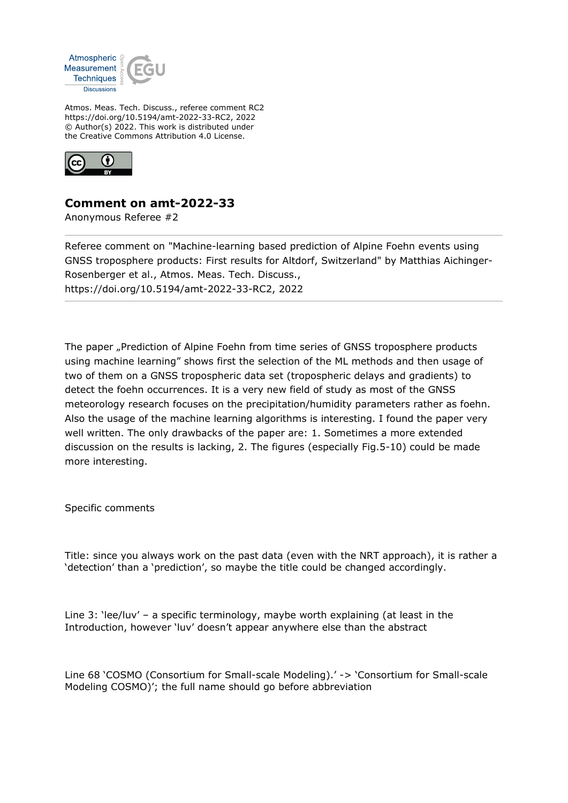

Atmos. Meas. Tech. Discuss., referee comment RC2 https://doi.org/10.5194/amt-2022-33-RC2, 2022 © Author(s) 2022. This work is distributed under the Creative Commons Attribution 4.0 License.



## **Comment on amt-2022-33**

Anonymous Referee #2

Referee comment on "Machine-learning based prediction of Alpine Foehn events using GNSS troposphere products: First results for Altdorf, Switzerland" by Matthias Aichinger-Rosenberger et al., Atmos. Meas. Tech. Discuss., https://doi.org/10.5194/amt-2022-33-RC2, 2022

The paper "Prediction of Alpine Foehn from time series of GNSS troposphere products using machine learning" shows first the selection of the ML methods and then usage of two of them on a GNSS tropospheric data set (tropospheric delays and gradients) to detect the foehn occurrences. It is a very new field of study as most of the GNSS meteorology research focuses on the precipitation/humidity parameters rather as foehn. Also the usage of the machine learning algorithms is interesting. I found the paper very well written. The only drawbacks of the paper are: 1. Sometimes a more extended discussion on the results is lacking, 2. The figures (especially Fig.5-10) could be made more interesting.

Specific comments

Title: since you always work on the past data (even with the NRT approach), it is rather a 'detection' than a 'prediction', so maybe the title could be changed accordingly.

Line 3: 'lee/luv' – a specific terminology, maybe worth explaining (at least in the Introduction, however 'luv' doesn't appear anywhere else than the abstract

Line 68 'COSMO (Consortium for Small-scale Modeling).' -> 'Consortium for Small-scale Modeling COSMO)'; the full name should go before abbreviation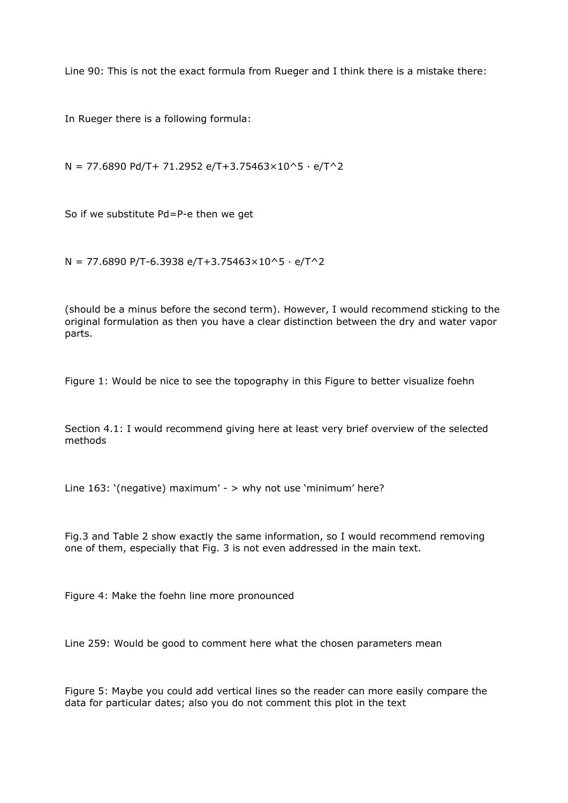Line 90: This is not the exact formula from Rueger and I think there is a mistake there:

In Rueger there is a following formula:

 $N = 77.6890$  Pd/T+ 71.2952 e/T+3.75463×10^5 · e/T^2

So if we substitute Pd=P-e then we get

 $N = 77.6890$  P/T-6.3938 e/T+3.75463×10^5  $\cdot$  e/T^2

(should be a minus before the second term). However, I would recommend sticking to the original formulation as then you have a clear distinction between the dry and water vapor parts.

Figure 1: Would be nice to see the topography in this Figure to better visualize foehn

Section 4.1: I would recommend giving here at least very brief overview of the selected methods

Line 163: '(negative) maximum' - > why not use 'minimum' here?

Fig.3 and Table 2 show exactly the same information, so I would recommend removing one of them, especially that Fig. 3 is not even addressed in the main text.

Figure 4: Make the foehn line more pronounced

Line 259: Would be good to comment here what the chosen parameters mean

Figure 5: Maybe you could add vertical lines so the reader can more easily compare the data for particular dates; also you do not comment this plot in the text